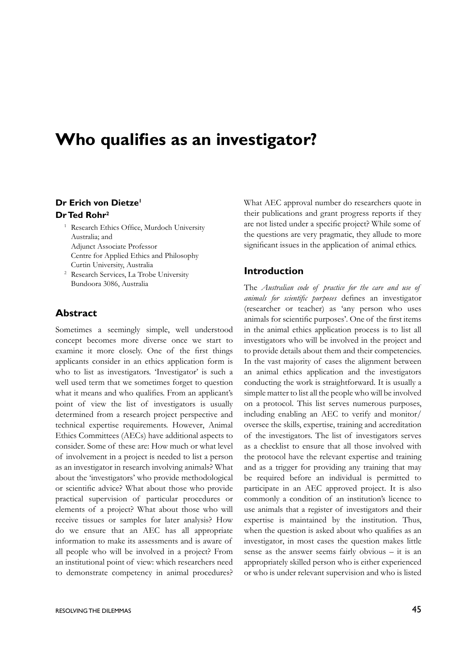# **Who qualifies as an investigator?**

#### **Dr Erich von Dietze<sup>1</sup> Dr Ted Rohr<sup>2</sup>**

- <sup>1</sup> Research Ethics Office, Murdoch University Australia; and Adjunct Associate Professor Centre for Applied Ethics and Philosophy Curtin University, Australia
- <sup>2</sup> Research Services, La Trobe University Bundoora 3086, Australia

## **Abstract**

Sometimes a seemingly simple, well understood concept becomes more diverse once we start to examine it more closely. One of the first things applicants consider in an ethics application form is who to list as investigators. 'Investigator' is such a well used term that we sometimes forget to question what it means and who qualifies. From an applicant's point of view the list of investigators is usually determined from a research project perspective and technical expertise requirements. However, Animal Ethics Committees (AECs) have additional aspects to consider. Some of these are: How much or what level of involvement in a project is needed to list a person as an investigator in research involving animals? What about the 'investigators' who provide methodological or scientific advice? What about those who provide practical supervision of particular procedures or elements of a project? What about those who will receive tissues or samples for later analysis? How do we ensure that an AEC has all appropriate information to make its assessments and is aware of all people who will be involved in a project? From an institutional point of view: which researchers need to demonstrate competency in animal procedures?

to provide details about them and their competencies.

**Introduction**

In the vast majority of cases the alignment between an animal ethics application and the investigators conducting the work is straightforward. It is usually a simple matter to list all the people who will be involved on a protocol. This list serves numerous purposes, including enabling an AEC to verify and monitor/ oversee the skills, expertise, training and accreditation of the investigators. The list of investigators serves as a checklist to ensure that all those involved with the protocol have the relevant expertise and training and as a trigger for providing any training that may be required before an individual is permitted to participate in an AEC approved project. It is also commonly a condition of an institution's licence to use animals that a register of investigators and their expertise is maintained by the institution. Thus, when the question is asked about who qualifies as an investigator, in most cases the question makes little sense as the answer seems fairly obvious – it is an appropriately skilled person who is either experienced or who is under relevant supervision and who is listed

What AEC approval number do researchers quote in their publications and grant progress reports if they are not listed under a specific project? While some of the questions are very pragmatic, they allude to more significant issues in the application of animal ethics.

The *Australian code of practice for the care and use of animals for scientific purposes* defines an investigator (researcher or teacher) as 'any person who uses animals for scientific purposes'. One of the first items in the animal ethics application process is to list all investigators who will be involved in the project and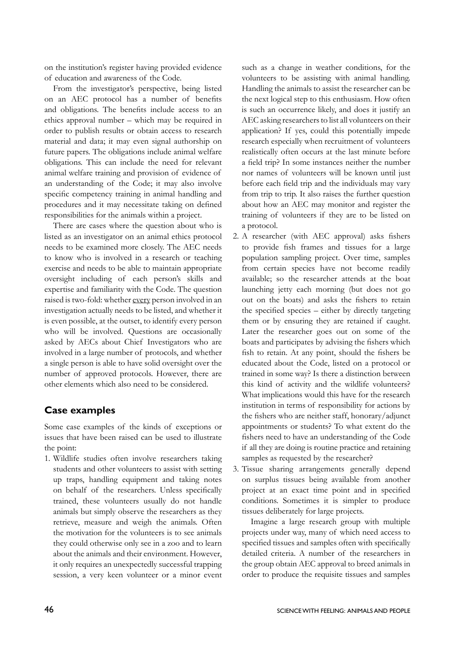on the institution's register having provided evidence of education and awareness of the Code.

 From the investigator's perspective, being listed on an AEC protocol has a number of benefits and obligations. The benefits include access to an ethics approval number – which may be required in order to publish results or obtain access to research material and data; it may even signal authorship on future papers. The obligations include animal welfare obligations. This can include the need for relevant animal welfare training and provision of evidence of an understanding of the Code; it may also involve specific competency training in animal handling and procedures and it may necessitate taking on defined responsibilities for the animals within a project.

 There are cases where the question about who is listed as an investigator on an animal ethics protocol needs to be examined more closely. The AEC needs to know who is involved in a research or teaching exercise and needs to be able to maintain appropriate oversight including of each person's skills and expertise and familiarity with the Code. The question raised is two-fold: whether every person involved in an investigation actually needs to be listed, and whether it is even possible, at the outset, to identify every person who will be involved. Questions are occasionally asked by AECs about Chief Investigators who are involved in a large number of protocols, and whether a single person is able to have solid oversight over the number of approved protocols. However, there are other elements which also need to be considered.

#### **Case examples**

Some case examples of the kinds of exceptions or issues that have been raised can be used to illustrate the point:

1. Wildlife studies often involve researchers taking students and other volunteers to assist with setting up traps, handling equipment and taking notes on behalf of the researchers. Unless specifically trained, these volunteers usually do not handle animals but simply observe the researchers as they retrieve, measure and weigh the animals. Often the motivation for the volunteers is to see animals they could otherwise only see in a zoo and to learn about the animals and their environment. However, it only requires an unexpectedly successful trapping session, a very keen volunteer or a minor event such as a change in weather conditions, for the volunteers to be assisting with animal handling. Handling the animals to assist the researcher can be the next logical step to this enthusiasm. How often is such an occurrence likely, and does it justify an AEC asking researchers to list all volunteers on their application? If yes, could this potentially impede research especially when recruitment of volunteers realistically often occurs at the last minute before a field trip? In some instances neither the number nor names of volunteers will be known until just before each field trip and the individuals may vary from trip to trip. It also raises the further question about how an AEC may monitor and register the training of volunteers if they are to be listed on a protocol.

- 2. A researcher (with AEC approval) asks fishers to provide fish frames and tissues for a large population sampling project. Over time, samples from certain species have not become readily available; so the researcher attends at the boat launching jetty each morning (but does not go out on the boats) and asks the fishers to retain the specified species – either by directly targeting them or by ensuring they are retained if caught. Later the researcher goes out on some of the boats and participates by advising the fishers which fish to retain. At any point, should the fishers be educated about the Code, listed on a protocol or trained in some way? Is there a distinction between this kind of activity and the wildlife volunteers? What implications would this have for the research institution in terms of responsibility for actions by the fishers who are neither staff, honorary/adjunct appointments or students? To what extent do the fishers need to have an understanding of the Code if all they are doing is routine practice and retaining samples as requested by the researcher?
- 3. Tissue sharing arrangements generally depend on surplus tissues being available from another project at an exact time point and in specified conditions. Sometimes it is simpler to produce tissues deliberately for large projects.

 Imagine a large research group with multiple projects under way, many of which need access to specified tissues and samples often with specifically detailed criteria. A number of the researchers in the group obtain AEC approval to breed animals in order to produce the requisite tissues and samples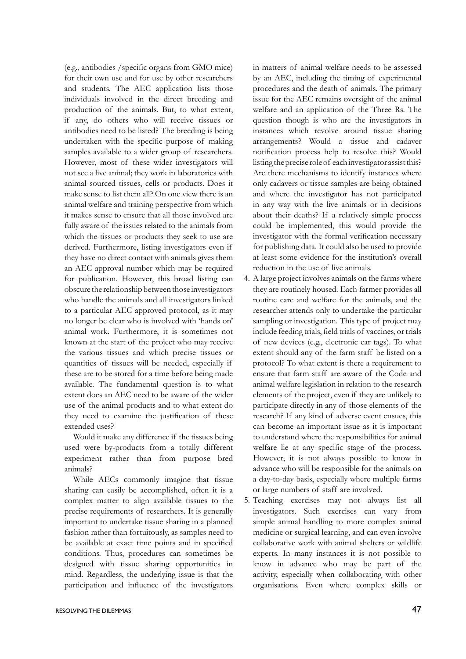(e.g., antibodies /specific organs from GMO mice) for their own use and for use by other researchers and students. The AEC application lists those individuals involved in the direct breeding and production of the animals. But, to what extent, if any, do others who will receive tissues or antibodies need to be listed? The breeding is being undertaken with the specific purpose of making samples available to a wider group of researchers. However, most of these wider investigators will not see a live animal; they work in laboratories with animal sourced tissues, cells or products. Does it make sense to list them all? On one view there is an animal welfare and training perspective from which it makes sense to ensure that all those involved are fully aware of the issues related to the animals from which the tissues or products they seek to use are derived. Furthermore, listing investigators even if they have no direct contact with animals gives them an AEC approval number which may be required for publication. However, this broad listing can obscure the relationship between those investigators who handle the animals and all investigators linked to a particular AEC approved protocol, as it may no longer be clear who is involved with 'hands on' animal work. Furthermore, it is sometimes not known at the start of the project who may receive the various tissues and which precise tissues or quantities of tissues will be needed, especially if these are to be stored for a time before being made available. The fundamental question is to what extent does an AEC need to be aware of the wider use of the animal products and to what extent do they need to examine the justification of these extended uses?

 Would it make any difference if the tissues being used were by-products from a totally different experiment rather than from purpose bred animals?

While AECs commonly imagine that tissue sharing can easily be accomplished, often it is a complex matter to align available tissues to the precise requirements of researchers. It is generally important to undertake tissue sharing in a planned fashion rather than fortuitously, as samples need to be available at exact time points and in specified conditions. Thus, procedures can sometimes be designed with tissue sharing opportunities in mind. Regardless, the underlying issue is that the participation and influence of the investigators

in matters of animal welfare needs to be assessed by an AEC, including the timing of experimental procedures and the death of animals. The primary issue for the AEC remains oversight of the animal welfare and an application of the Three Rs. The question though is who are the investigators in instances which revolve around tissue sharing arrangements? Would a tissue and cadaver notification process help to resolve this? Would listing the precise role of each investigator assist this? Are there mechanisms to identify instances where only cadavers or tissue samples are being obtained and where the investigator has not participated in any way with the live animals or in decisions about their deaths? If a relatively simple process could be implemented, this would provide the investigator with the formal verification necessary for publishing data. It could also be used to provide at least some evidence for the institution's overall reduction in the use of live animals.

- 4. A large project involves animals on the farms where they are routinely housed. Each farmer provides all routine care and welfare for the animals, and the researcher attends only to undertake the particular sampling or investigation. This type of project may include feeding trials, field trials of vaccines, or trials of new devices (e.g., electronic ear tags). To what extent should any of the farm staff be listed on a protocol? To what extent is there a requirement to ensure that farm staff are aware of the Code and animal welfare legislation in relation to the research elements of the project, even if they are unlikely to participate directly in any of those elements of the research? If any kind of adverse event ensues, this can become an important issue as it is important to understand where the responsibilities for animal welfare lie at any specific stage of the process. However, it is not always possible to know in advance who will be responsible for the animals on a day-to-day basis, especially where multiple farms or large numbers of staff are involved.
- 5. Teaching exercises may not always list all investigators. Such exercises can vary from simple animal handling to more complex animal medicine or surgical learning, and can even involve collaborative work with animal shelters or wildlife experts. In many instances it is not possible to know in advance who may be part of the activity, especially when collaborating with other organisations. Even where complex skills or